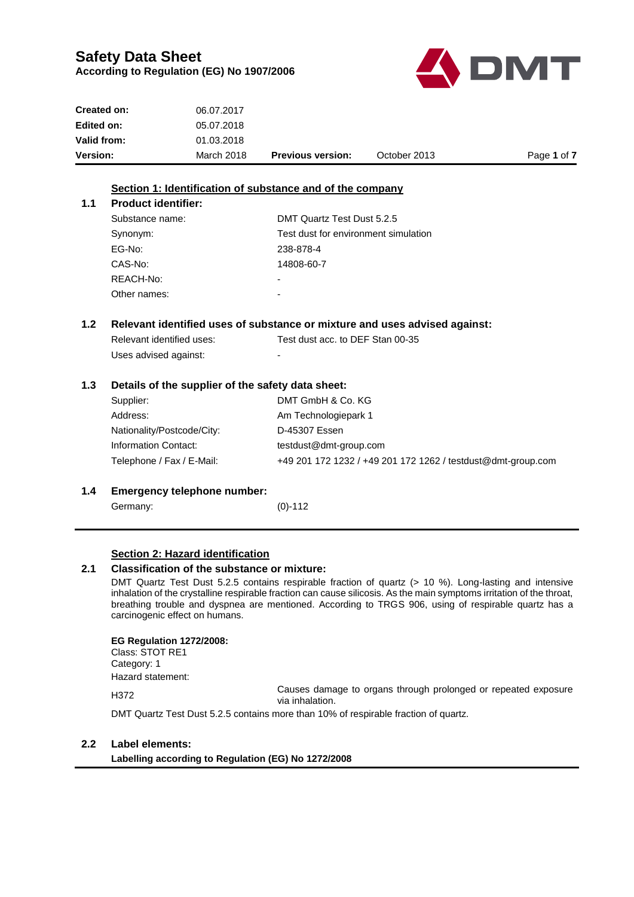

| <b>Version:</b> | March 2018 | <b>Previous version:</b> | October 2013 | Page 1 of 7 |
|-----------------|------------|--------------------------|--------------|-------------|
| Valid from:     | 01.03.2018 |                          |              |             |
| Edited on:      | 05.07.2018 |                          |              |             |
| Created on:     | 06.07.2017 |                          |              |             |

#### **Section 1: Identification of substance and of the company**

| <b>Product identifier:</b> |                                      |
|----------------------------|--------------------------------------|
| Substance name:            | DMT Quartz Test Dust 5.2.5           |
| Synonym:                   | Test dust for environment simulation |
| EG-No:                     | 238-878-4                            |
| CAS-No:                    | 14808-60-7                           |
| REACH-No:                  |                                      |
| Other names:               |                                      |

#### **1.2 Relevant identified uses of substance or mixture and uses advised against:**

| Relevant identified uses: | Test dust acc. to DEF Stan 00-35 |
|---------------------------|----------------------------------|
| Uses advised against:     | -                                |

#### **1.3 Details of the supplier of the safety data sheet:**

| Supplier:                  | DMT GmbH & Co. KG                                            |
|----------------------------|--------------------------------------------------------------|
| Address:                   | Am Technologiepark 1                                         |
| Nationality/Postcode/City: | D-45307 Essen                                                |
| Information Contact:       | testdust@dmt-group.com                                       |
| Telephone / Fax / E-Mail:  | +49 201 172 1232 / +49 201 172 1262 / testdust@dmt-group.com |
|                            |                                                              |

#### **1.4 Emergency telephone number:**

Germany: (0)-112

 $1.1$ 

#### **Section 2: Hazard identification**

### **2.1 Classification of the substance or mixture:**

DMT Quartz Test Dust 5.2.5 contains respirable fraction of quartz (> 10 %). Long-lasting and intensive inhalation of the crystalline respirable fraction can cause silicosis. As the main symptoms irritation of the throat, breathing trouble and dyspnea are mentioned. According to TRGS 906, using of respirable quartz has a carcinogenic effect on humans.

#### **EG Regulation 1272/2008:**

Class: STOT RE1 Category: 1 Hazard statement:

H372 Causes damage to organs through prolonged or repeated exposure via inhalation.

DMT Quartz Test Dust 5.2.5 contains more than 10% of respirable fraction of quartz.

#### **2.2 Label elements:**

**Labelling according to Regulation (EG) No 1272/2008**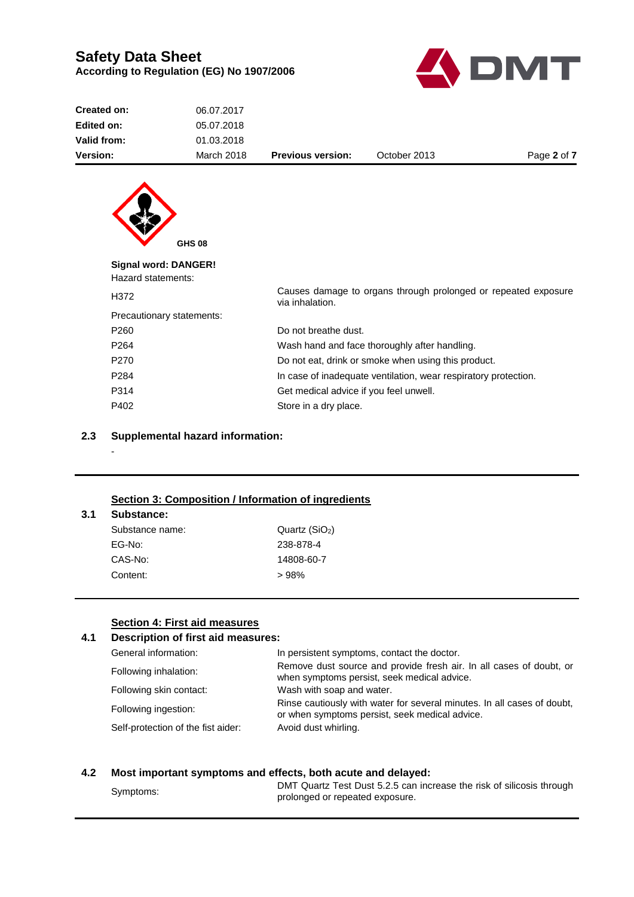

| 06.07.2017                |                                               |              |                                                                                                                                                                                                                                    |
|---------------------------|-----------------------------------------------|--------------|------------------------------------------------------------------------------------------------------------------------------------------------------------------------------------------------------------------------------------|
| 05.07.2018                |                                               |              |                                                                                                                                                                                                                                    |
| 01.03.2018                |                                               |              |                                                                                                                                                                                                                                    |
| <b>March 2018</b>         | <b>Previous version:</b>                      | October 2013 | Page 2 of 7                                                                                                                                                                                                                        |
|                           |                                               |              |                                                                                                                                                                                                                                    |
|                           |                                               |              |                                                                                                                                                                                                                                    |
|                           |                                               |              |                                                                                                                                                                                                                                    |
|                           |                                               |              |                                                                                                                                                                                                                                    |
|                           |                                               |              |                                                                                                                                                                                                                                    |
| Signal word: DANGER!      |                                               |              |                                                                                                                                                                                                                                    |
|                           |                                               |              |                                                                                                                                                                                                                                    |
|                           | via inhalation.                               |              |                                                                                                                                                                                                                                    |
| Precautionary statements: |                                               |              |                                                                                                                                                                                                                                    |
|                           | Do not breathe dust.                          |              |                                                                                                                                                                                                                                    |
|                           | Wash hand and face thoroughly after handling. |              |                                                                                                                                                                                                                                    |
|                           |                                               |              |                                                                                                                                                                                                                                    |
|                           |                                               |              |                                                                                                                                                                                                                                    |
|                           |                                               |              |                                                                                                                                                                                                                                    |
|                           | <b>GHS 08</b><br>Hazard statements:           |              | Causes damage to organs through prolonged or repeated exposure<br>Do not eat, drink or smoke when using this product.<br>In case of inadequate ventilation, wear respiratory protection.<br>Get medical advice if you feel unwell. |

#### **2.3 Supplemental hazard information:**

#### **Section 3: Composition / Information of ingredients**

P402 Store in a dry place.

#### **3.1 Substance:**

-

| Substance name: | Quartz $(SiO2)$ |
|-----------------|-----------------|
| EG-No:          | 238-878-4       |
| CAS-No:         | 14808-60-7      |
| Content:        | >98%            |

#### **Section 4: First aid measures**

#### **4.1 Description of first aid measures:** General information: In persistent symptoms, contact the doctor. Following inhalation:<br>
Remove dust source and provide fresh air. In all cases of doubt, or<br>
when symptoms persist assault medial education when symptoms persist, seek medical advice. Following skin contact: Wash with soap and water. Following ingestion:<br>
Rinse cautiously with water for several minutes. In all cases of doubt,<br>
crushes aumeters aggregate and reduced advised or when symptoms persist, seek medical advice. Self-protection of the fist aider: Avoid dust whirling.

#### **4.2 Most important symptoms and effects, both acute and delayed:**

Symptoms:<br>
Symptoms:<br>
Symptoms:<br>
Symptoms: prolonged or repeated exposure.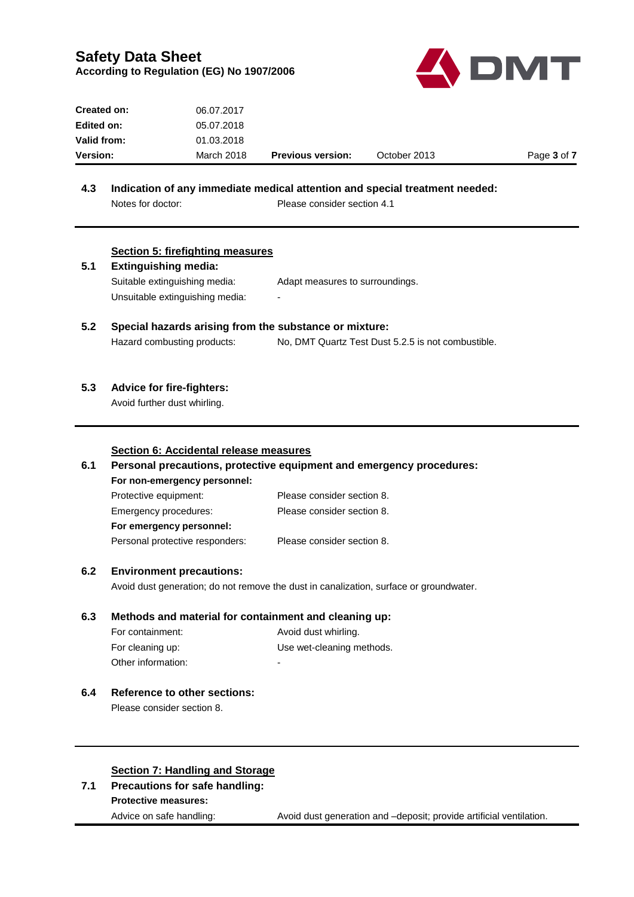

| <b>Created on:</b> | 06.07.2017 |                          |              |             |
|--------------------|------------|--------------------------|--------------|-------------|
| Edited on:         | 05.07.2018 |                          |              |             |
| <b>Valid from:</b> | 01.03.2018 |                          |              |             |
| <b>Version:</b>    | March 2018 | <b>Previous version:</b> | October 2013 | Page 3 of 7 |

# **4.3 Indication of any immediate medical attention and special treatment needed:**

Notes for doctor: Please consider section 4.1

| 5.1<br>5.2 | <b>Section 5: firefighting measures</b><br><b>Extinguishing media:</b><br>Suitable extinguishing media:<br>Unsuitable extinguishing media:<br>Special hazards arising from the substance or mixture: | Adapt measures to surroundings.                                      |  |
|------------|------------------------------------------------------------------------------------------------------------------------------------------------------------------------------------------------------|----------------------------------------------------------------------|--|
|            | Hazard combusting products:                                                                                                                                                                          | No, DMT Quartz Test Dust 5.2.5 is not combustible.                   |  |
| 5.3        | <b>Advice for fire-fighters:</b><br>Avoid further dust whirling.                                                                                                                                     |                                                                      |  |
|            | Section 6: Accidental release measures                                                                                                                                                               |                                                                      |  |
| 6.1        |                                                                                                                                                                                                      | Personal precautions, protective equipment and emergency procedures: |  |
|            | For non-emergency personnel:                                                                                                                                                                         |                                                                      |  |
|            | Protective equipment:                                                                                                                                                                                | Please consider section 8.                                           |  |
|            | Emergency procedures:                                                                                                                                                                                | Please consider section 8.                                           |  |
|            | For emergency personnel:                                                                                                                                                                             |                                                                      |  |
|            | Personal protective responders:                                                                                                                                                                      | Please consider section 8.                                           |  |
| 6.2        | <b>Environment precautions:</b>                                                                                                                                                                      |                                                                      |  |
|            | Avoid dust generation; do not remove the dust in canalization, surface or groundwater.                                                                                                               |                                                                      |  |
| 6.3        | Methods and material for containment and cleaning up:                                                                                                                                                |                                                                      |  |
|            | For containment:                                                                                                                                                                                     | Avoid dust whirling.                                                 |  |
|            | For cleaning up:                                                                                                                                                                                     | Use wet-cleaning methods.                                            |  |
|            | Other information:                                                                                                                                                                                   |                                                                      |  |
| 6.4        | <b>Reference to other sections:</b>                                                                                                                                                                  |                                                                      |  |
|            | Please consider section 8.                                                                                                                                                                           |                                                                      |  |
|            |                                                                                                                                                                                                      |                                                                      |  |
|            |                                                                                                                                                                                                      |                                                                      |  |
|            | <b>Section 7: Handling and Storage</b>                                                                                                                                                               |                                                                      |  |
| 7.1        | Precautions for safe handling:                                                                                                                                                                       |                                                                      |  |
|            | <b>Protective measures:</b>                                                                                                                                                                          |                                                                      |  |
|            | Advice on safe handling:                                                                                                                                                                             | Avoid dust generation and -deposit; provide artificial ventilation.  |  |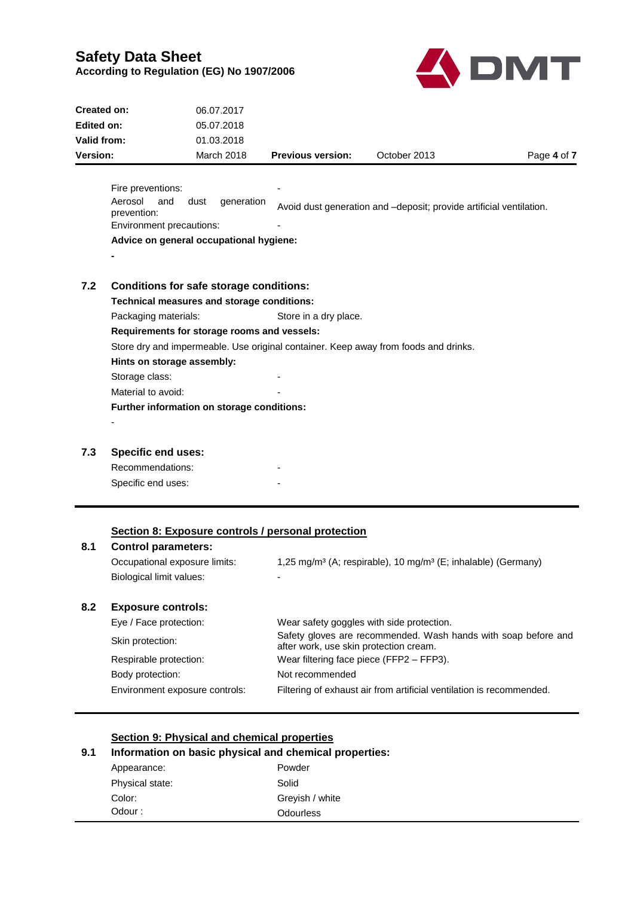

| Created on:                                                                         |                               | 06.07.2017                                     |                          |                                                                     |             |
|-------------------------------------------------------------------------------------|-------------------------------|------------------------------------------------|--------------------------|---------------------------------------------------------------------|-------------|
| Edited on:<br>Valid from:                                                           |                               | 05.07.2018                                     |                          |                                                                     |             |
|                                                                                     |                               | 01.03.2018                                     |                          |                                                                     |             |
| Version:                                                                            |                               | <b>March 2018</b>                              | <b>Previous version:</b> | October 2013                                                        | Page 4 of 7 |
|                                                                                     |                               |                                                |                          |                                                                     |             |
|                                                                                     | Fire preventions:             |                                                |                          |                                                                     |             |
|                                                                                     | Aerosol<br>and<br>prevention: | generation<br>dust                             |                          | Avoid dust generation and -deposit; provide artificial ventilation. |             |
|                                                                                     | Environment precautions:      |                                                |                          |                                                                     |             |
| Advice on general occupational hygiene:                                             |                               |                                                |                          |                                                                     |             |
|                                                                                     |                               |                                                |                          |                                                                     |             |
|                                                                                     |                               |                                                |                          |                                                                     |             |
| 7.2                                                                                 |                               | <b>Conditions for safe storage conditions:</b> |                          |                                                                     |             |
|                                                                                     |                               | Technical measures and storage conditions:     |                          |                                                                     |             |
|                                                                                     | Packaging materials:          |                                                | Store in a dry place.    |                                                                     |             |
|                                                                                     |                               | Requirements for storage rooms and vessels:    |                          |                                                                     |             |
| Store dry and impermeable. Use original container. Keep away from foods and drinks. |                               |                                                |                          |                                                                     |             |
|                                                                                     | Hints on storage assembly:    |                                                |                          |                                                                     |             |
|                                                                                     | Storage class:                |                                                |                          |                                                                     |             |
|                                                                                     | Material to avoid:            |                                                |                          |                                                                     |             |
|                                                                                     |                               | Further information on storage conditions:     |                          |                                                                     |             |
|                                                                                     |                               |                                                |                          |                                                                     |             |
|                                                                                     |                               |                                                |                          |                                                                     |             |

## **7.3 Specific end uses:**

| Recommendations:   |  |
|--------------------|--|
| Specific end uses: |  |

#### **Section 8: Exposure controls / personal protection**

## **8.1 Control parameters:**

Occupational exposure limits: 1,25 mg/m<sup>3</sup> (A; respirable), 10 mg/m<sup>3</sup> (E; inhalable) (Germany) Biological limit values: Fig. 2014

## **8.2 Exposure controls:**

| Eye / Face protection:         | Wear safety goggles with side protection.                                                                |
|--------------------------------|----------------------------------------------------------------------------------------------------------|
| Skin protection:               | Safety gloves are recommended. Wash hands with soap before and<br>after work, use skin protection cream. |
| Respirable protection:         | Wear filtering face piece (FFP2 - FFP3).                                                                 |
| Body protection:               | Not recommended                                                                                          |
| Environment exposure controls: | Filtering of exhaust air from artificial ventilation is recommended.                                     |

### **Section 9: Physical and chemical properties**

## **9.1 Information on basic physical and chemical properties:**

| Appearance:     | Powder           |  |
|-----------------|------------------|--|
| Physical state: | Solid            |  |
| Color:          | Grevish / white  |  |
| Odour :         | <b>Odourless</b> |  |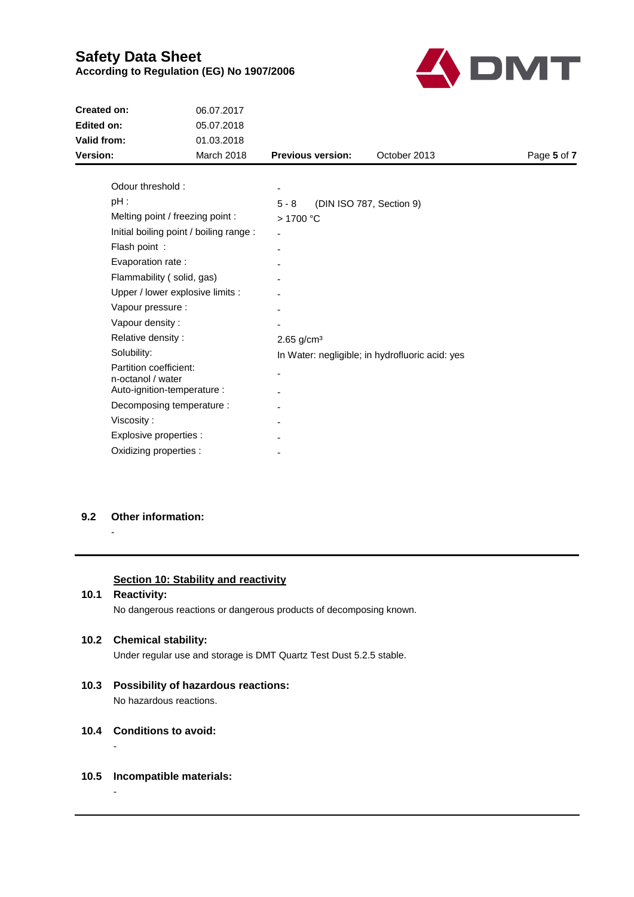

| <b>Created on:</b>                      | 06.07.2017                       |                                                 |              |             |  |
|-----------------------------------------|----------------------------------|-------------------------------------------------|--------------|-------------|--|
| <b>Edited on:</b>                       | 05.07.2018                       |                                                 |              |             |  |
| Valid from:                             | 01.03.2018                       |                                                 |              |             |  |
| Version:                                | <b>March 2018</b>                | <b>Previous version:</b>                        | October 2013 | Page 5 of 7 |  |
|                                         |                                  |                                                 |              |             |  |
| Odour threshold:                        |                                  |                                                 |              |             |  |
| $pH$ :                                  |                                  | $5 - 8$<br>(DIN ISO 787, Section 9)             |              |             |  |
| Melting point / freezing point :        |                                  | >1700 °C                                        |              |             |  |
| Initial boiling point / boiling range : |                                  |                                                 |              |             |  |
| Flash point:                            |                                  | ۰                                               |              |             |  |
| Evaporation rate :                      |                                  |                                                 |              |             |  |
| Flammability (solid, gas)               |                                  |                                                 |              |             |  |
|                                         | Upper / lower explosive limits : |                                                 |              |             |  |
| Vapour pressure :                       |                                  |                                                 |              |             |  |
| Vapour density:                         |                                  |                                                 |              |             |  |
| Relative density:                       |                                  | $2.65$ g/cm <sup>3</sup>                        |              |             |  |
| Solubility:                             |                                  | In Water: negligible; in hydrofluoric acid: yes |              |             |  |
| Partition coefficient:                  |                                  |                                                 |              |             |  |
| n-octanol / water                       |                                  |                                                 |              |             |  |
| Auto-ignition-temperature :             |                                  |                                                 |              |             |  |
| Decomposing temperature :               |                                  |                                                 |              |             |  |
| Viscosity:                              |                                  |                                                 |              |             |  |
| Explosive properties :                  |                                  |                                                 |              |             |  |
| Oxidizing properties :                  |                                  |                                                 |              |             |  |
|                                         |                                  |                                                 |              |             |  |

#### **9.2 Other information:**

-

### **Section 10: Stability and reactivity**

**10.1 Reactivity:**

No dangerous reactions or dangerous products of decomposing known.

#### **10.2 Chemical stability:**

Under regular use and storage is DMT Quartz Test Dust 5.2.5 stable.

- **10.3 Possibility of hazardous reactions:** No hazardous reactions.
- **10.4 Conditions to avoid:**

-

-

#### **10.5 Incompatible materials:**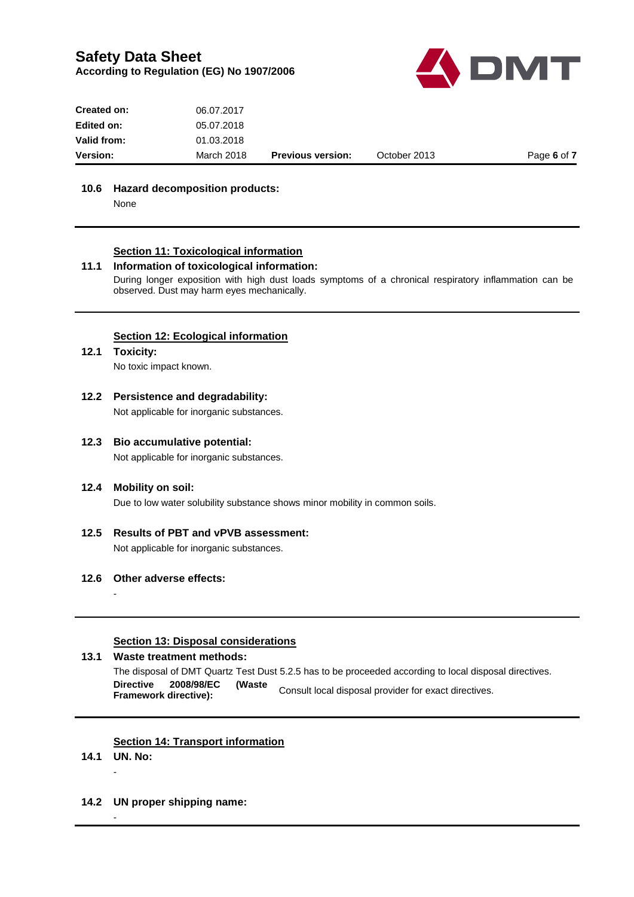![](_page_5_Picture_1.jpeg)

| <b>Version:</b>    | March 2018 | <b>Previous version:</b> | October 2013 | Page 6 of 7 |
|--------------------|------------|--------------------------|--------------|-------------|
| <b>Valid from:</b> | 01.03.2018 |                          |              |             |
| Edited on:         | 05.07.2018 |                          |              |             |
| Created on:        | 06.07.2017 |                          |              |             |

#### **10.6 Hazard decomposition products:**

None

#### **Section 11: Toxicological information**

#### **11.1 Information of toxicological information:**

During longer exposition with high dust loads symptoms of a chronical respiratory inflammation can be observed. Dust may harm eyes mechanically.

#### **Section 12: Ecological information**

#### **12.1 Toxicity:**

No toxic impact known.

- **12.2 Persistence and degradability:** Not applicable for inorganic substances.
	-

### **12.3 Bio accumulative potential:**

Not applicable for inorganic substances.

#### **12.4 Mobility on soil:**

Due to low water solubility substance shows minor mobility in common soils.

## **12.5 Results of PBT and vPVB assessment:** Not applicable for inorganic substances.

#### **12.6 Other adverse effects:**

#### **Section 13: Disposal considerations**

#### **13.1 Waste treatment methods:** The disposal of DMT Quartz Test Dust 5.2.5 has to be proceeded according to local disposal directives. **Directive 2008/98/EC (Waste Framework directive):** Consult local disposal provider for exact directives.

#### **Section 14: Transport information**

**14.1 UN. No:** -

-

-

**14.2 UN proper shipping name:**